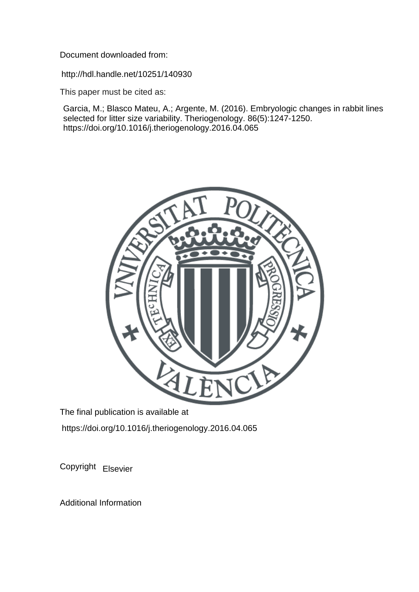Document downloaded from:

http://hdl.handle.net/10251/140930

This paper must be cited as:

Garcia, M.; Blasco Mateu, A.; Argente, M. (2016). Embryologic changes in rabbit lines selected for litter size variability. Theriogenology. 86(5):1247-1250. https://doi.org/10.1016/j.theriogenology.2016.04.065



The final publication is available at https://doi.org/10.1016/j.theriogenology.2016.04.065

Copyright Elsevier

Additional Information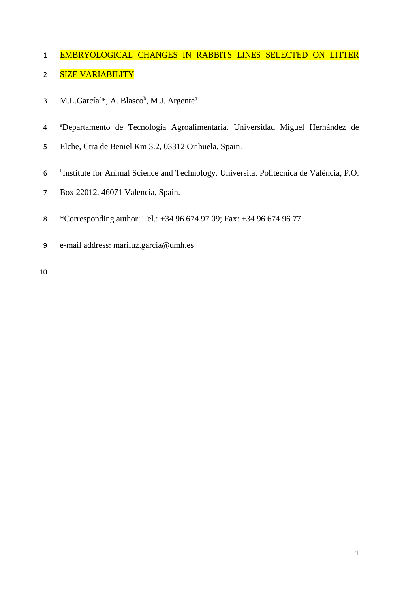# 1 EMBRYOLOGICAL CHANGES IN RABBITS LINES SELECTED ON LITTER 2 SIZE VARIABILITY

- 3 M.L.García<sup>a\*</sup>, A. Blasco<sup>b</sup>, M.J. Argente<sup>a</sup>
- <sup>a</sup> Departamento de Tecnología Agroalimentaria. Universidad Miguel Hernández de
- Elche, Ctra de Beniel Km 3.2, 03312 Orihuela, Spain.
- <sup>b</sup> Institute for Animal Science and Technology. Universitat Politècnica de València, P.O.
- Box 22012. 46071 Valencia, Spain.
- \*Corresponding author: Tel.: +34 96 674 97 09; Fax: +34 96 674 96 77
- e-mail address: mariluz.garcia@umh.es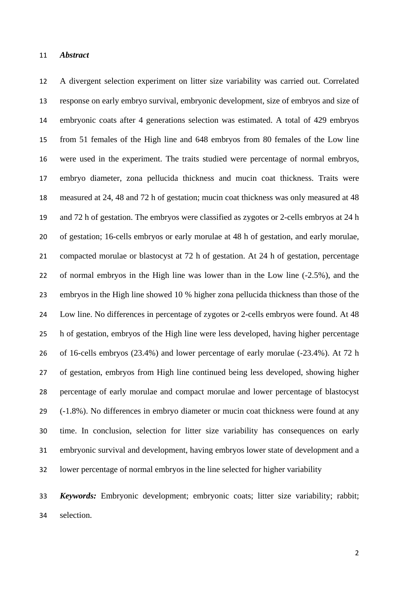A divergent selection experiment on litter size variability was carried out. Correlated response on early embryo survival, embryonic development, size of embryos and size of embryonic coats after 4 generations selection was estimated. A total of 429 embryos from 51 females of the High line and 648 embryos from 80 females of the Low line were used in the experiment. The traits studied were percentage of normal embryos, embryo diameter, zona pellucida thickness and mucin coat thickness. Traits were measured at 24, 48 and 72 h of gestation; mucin coat thickness was only measured at 48 and 72 h of gestation. The embryos were classified as zygotes or 2-cells embryos at 24 h of gestation; 16-cells embryos or early morulae at 48 h of gestation, and early morulae, compacted morulae or blastocyst at 72 h of gestation. At 24 h of gestation, percentage of normal embryos in the High line was lower than in the Low line (-2.5%), and the embryos in the High line showed 10 % higher zona pellucida thickness than those of the Low line. No differences in percentage of zygotes or 2-cells embryos were found. At 48 h of gestation, embryos of the High line were less developed, having higher percentage of 16-cells embryos (23.4%) and lower percentage of early morulae (-23.4%). At 72 h of gestation, embryos from High line continued being less developed, showing higher percentage of early morulae and compact morulae and lower percentage of blastocyst (-1.8%). No differences in embryo diameter or mucin coat thickness were found at any time. In conclusion, selection for litter size variability has consequences on early embryonic survival and development, having embryos lower state of development and a lower percentage of normal embryos in the line selected for higher variability

 *Keywords:* Embryonic development; embryonic coats; litter size variability; rabbit; selection.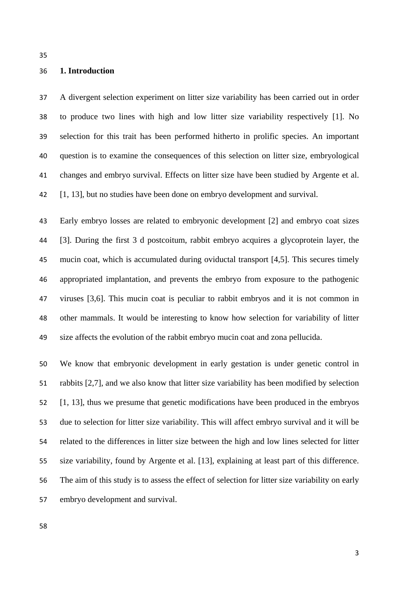## **1. Introduction**

 A divergent selection experiment on litter size variability has been carried out in order to produce two lines with high and low litter size variability respectively [1]. No selection for this trait has been performed hitherto in prolific species. An important question is to examine the consequences of this selection on litter size, embryological changes and embryo survival. Effects on litter size have been studied by Argente et al. [1, 13], but no studies have been done on embryo development and survival.

 Early embryo losses are related to embryonic development [2] and embryo coat sizes [3]. During the first 3 d postcoitum, rabbit embryo acquires a glycoprotein layer, the mucin coat, which is accumulated during oviductal transport [4,5]. This secures timely appropriated implantation, and prevents the embryo from exposure to the pathogenic viruses [3,6]. This mucin coat is peculiar to rabbit embryos and it is not common in other mammals. It would be interesting to know how selection for variability of litter size affects the evolution of the rabbit embryo mucin coat and zona pellucida.

 We know that embryonic development in early gestation is under genetic control in rabbits [2,7], and we also know that litter size variability has been modified by selection [1, 13], thus we presume that genetic modifications have been produced in the embryos due to selection for litter size variability. This will affect embryo survival and it will be related to the differences in litter size between the high and low lines selected for litter size variability, found by Argente et al. [13], explaining at least part of this difference. The aim of this study is to assess the effect of selection for litter size variability on early embryo development and survival.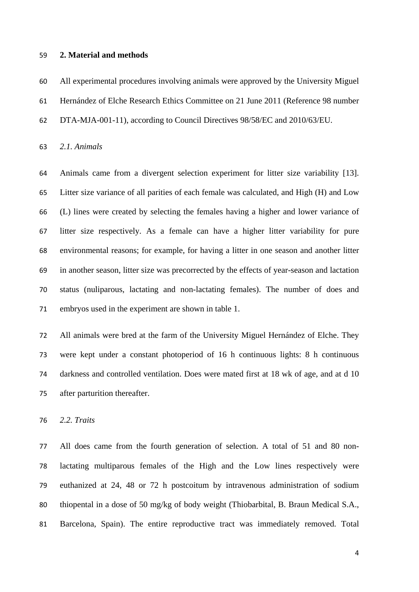#### **2. Material and methods**

 All experimental procedures involving animals were approved by the University Miguel Hernández of Elche Research Ethics Committee on 21 June 2011 (Reference 98 number DTA-MJA-001-11), according to Council Directives 98/58/EC and 2010/63/EU.

*2.1. Animals*

 Animals came from a divergent selection experiment for litter size variability [13]. Litter size variance of all parities of each female was calculated, and High (H) and Low (L) lines were created by selecting the females having a higher and lower variance of litter size respectively. As a female can have a higher litter variability for pure environmental reasons; for example, for having a litter in one season and another litter in another season, litter size was precorrected by the effects of year-season and lactation status (nuliparous, lactating and non-lactating females). The number of does and embryos used in the experiment are shown in table 1.

 All animals were bred at the farm of the University Miguel Hernández of Elche. They were kept under a constant photoperiod of 16 h continuous lights: 8 h continuous darkness and controlled ventilation. Does were mated first at 18 wk of age, and at d 10 after parturition thereafter.

*2.2. Traits*

 All does came from the fourth generation of selection. A total of 51 and 80 non- lactating multiparous females of the High and the Low lines respectively were euthanized at 24, 48 or 72 h postcoitum by intravenous administration of sodium thiopental in a dose of 50 mg/kg of body weight (Thiobarbital, B. Braun Medical S.A., Barcelona, Spain). The entire reproductive tract was immediately removed. Total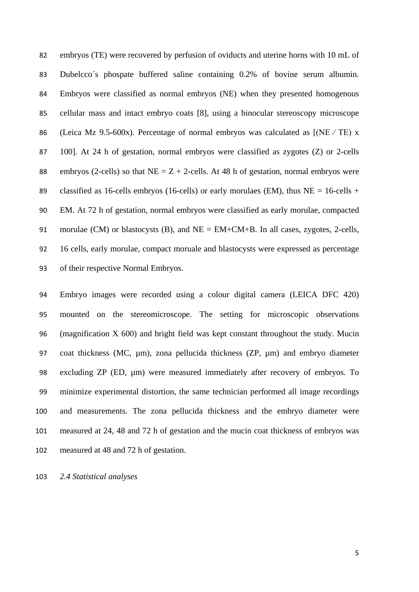embryos (TE) were recovered by perfusion of oviducts and uterine horns with 10 mL of Dubelcco´s phospate buffered saline containing 0.2% of bovine serum albumin. Embryos were classified as normal embryos (NE) when they presented homogenous cellular mass and intact embryo coats [8], using a binocular stereoscopy microscope (Leica Mz 9.5-600x). Percentage of normal embryos was calculated as [(NE ∕ TE) x 100]. At 24 h of gestation, normal embryos were classified as zygotes (Z) or 2-cells 88 embryos (2-cells) so that  $NE = Z + 2$ -cells. At 48 h of gestation, normal embryos were 89 classified as 16-cells embryos (16-cells) or early morulaes (EM), thus  $NE = 16$ -cells + EM. At 72 h of gestation, normal embryos were classified as early morulae, compacted 91 morulae (CM) or blastocysts (B), and  $NE = EM+CM+B$ . In all cases, zygotes, 2-cells, 16 cells, early morulae, compact moruale and blastocysts were expressed as percentage of their respective Normal Embryos.

 Embryo images were recorded using a colour digital camera (LEICA DFC 420) mounted on the stereomicroscope. The setting for microscopic observations (magnification X 600) and bright field was kept constant throughout the study. Mucin coat thickness (MC, µm), zona pellucida thickness (ZP, µm) and embryo diameter 98 excluding ZP (ED,  $\mu$ m) were measured immediately after recovery of embryos. To minimize experimental distortion, the same technician performed all image recordings and measurements. The zona pellucida thickness and the embryo diameter were measured at 24, 48 and 72 h of gestation and the mucin coat thickness of embryos was measured at 48 and 72 h of gestation.

*2.4 Statistical analyses*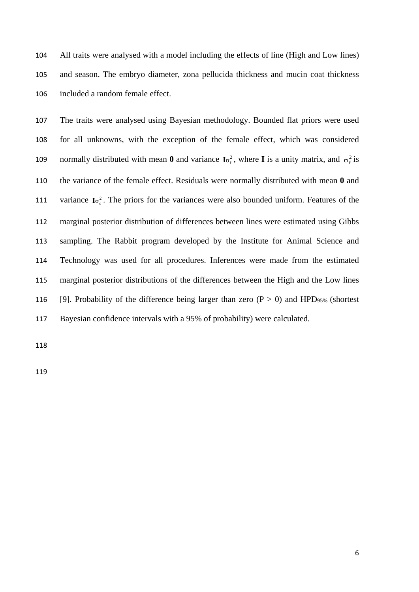All traits were analysed with a model including the effects of line (High and Low lines) and season. The embryo diameter, zona pellucida thickness and mucin coat thickness included a random female effect.

 The traits were analysed using Bayesian methodology. Bounded flat priors were used for all unknowns, with the exception of the female effect, which was considered normally distributed with mean **0** and variance  $I\sigma_f^2$ , where **I** is a unity matrix, and  $\sigma_f^2$  is the variance of the female effect. Residuals were normally distributed with mean **0** and 111 variance  $I\sigma_e^2$ . The priors for the variances were also bounded uniform. Features of the marginal posterior distribution of differences between lines were estimated using Gibbs sampling. The Rabbit program developed by the Institute for Animal Science and Technology was used for all procedures. Inferences were made from the estimated marginal posterior distributions of the differences between the High and the Low lines 116 [9]. Probability of the difference being larger than zero  $(P > 0)$  and HPD95% (shortest Bayesian confidence intervals with a 95% of probability) were calculated.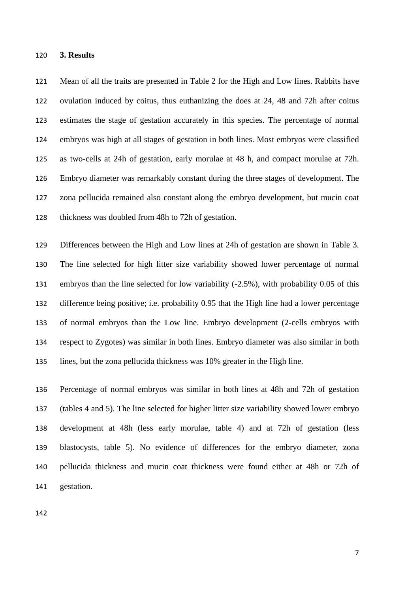#### **3. Results**

 Mean of all the traits are presented in Table 2 for the High and Low lines. Rabbits have ovulation induced by coitus, thus euthanizing the does at 24, 48 and 72h after coitus estimates the stage of gestation accurately in this species. The percentage of normal embryos was high at all stages of gestation in both lines. Most embryos were classified as two-cells at 24h of gestation, early morulae at 48 h, and compact morulae at 72h. Embryo diameter was remarkably constant during the three stages of development. The zona pellucida remained also constant along the embryo development, but mucin coat thickness was doubled from 48h to 72h of gestation.

 Differences between the High and Low lines at 24h of gestation are shown in Table 3. The line selected for high litter size variability showed lower percentage of normal embryos than the line selected for low variability (-2.5%), with probability 0.05 of this difference being positive; i.e. probability 0.95 that the High line had a lower percentage of normal embryos than the Low line. Embryo development (2-cells embryos with respect to Zygotes) was similar in both lines. Embryo diameter was also similar in both lines, but the zona pellucida thickness was 10% greater in the High line.

 Percentage of normal embryos was similar in both lines at 48h and 72h of gestation (tables 4 and 5). The line selected for higher litter size variability showed lower embryo development at 48h (less early morulae, table 4) and at 72h of gestation (less blastocysts, table 5). No evidence of differences for the embryo diameter, zona pellucida thickness and mucin coat thickness were found either at 48h or 72h of gestation.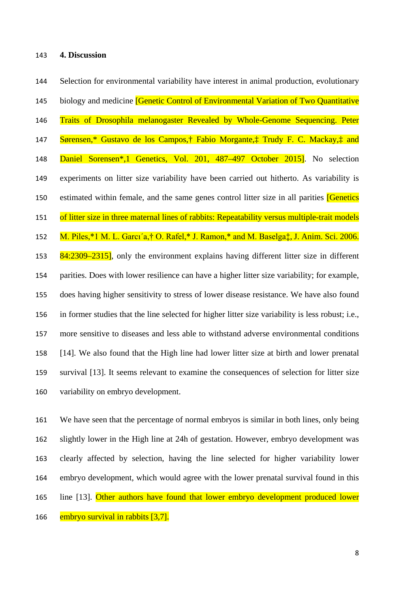## **4. Discussion**

 Selection for environmental variability have interest in animal production, evolutionary 145 biology and medicine **[Genetic Control of Environmental Variation of Two Quantitative**  Traits of Drosophila melanogaster Revealed by Whole-Genome Sequencing. Peter Sørensen,\* Gustavo de los Campos,† Fabio Morgante,‡ Trudy F. C. Mackay,‡ and Daniel Sorensen\*,1 Genetics, Vol. 201, 487–497 October 2015]. No selection experiments on litter size variability have been carried out hitherto. As variability is 150 estimated within female, and the same genes control litter size in all parities **[Genetics**] 151 of litter size in three maternal lines of rabbits: Repeatability versus multiple-trait models 152 M. Piles,\*1 M. L. Garcı'a,† O. Rafel,\* J. Ramon,\* and M. Baselga $\ddagger$ , J. Anim. Sci. 2006. 153 84:2309–2315], only the environment explains having different litter size in different parities. Does with lower resilience can have a higher litter size variability; for example, does having higher sensitivity to stress of lower disease resistance. We have also found in former studies that the line selected for higher litter size variability is less robust; i.e., more sensitive to diseases and less able to withstand adverse environmental conditions [14]. We also found that the High line had lower litter size at birth and lower prenatal survival [13]. It seems relevant to examine the consequences of selection for litter size variability on embryo development.

 We have seen that the percentage of normal embryos is similar in both lines, only being slightly lower in the High line at 24h of gestation. However, embryo development was clearly affected by selection, having the line selected for higher variability lower embryo development, which would agree with the lower prenatal survival found in this line [13]. Other authors have found that lower embryo development produced lower embryo survival in rabbits [3,7].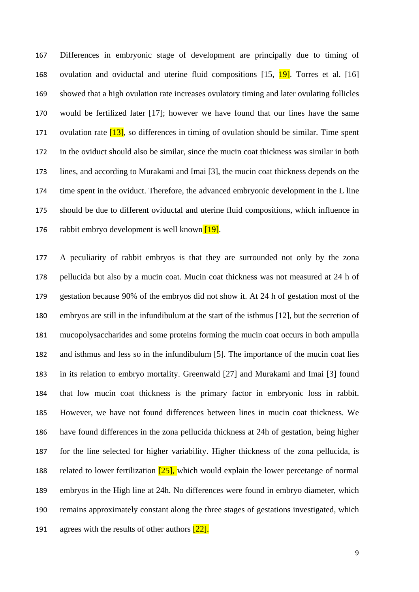Differences in embryonic stage of development are principally due to timing of 168 ovulation and oviductal and uterine fluid compositions [15, 19]. Torres et al. [16] showed that a high ovulation rate increases ovulatory timing and later ovulating follicles would be fertilized later [17]; however we have found that our lines have the same 171 ovulation rate  $[13]$ , so differences in timing of ovulation should be similar. Time spent in the oviduct should also be similar, since the mucin coat thickness was similar in both lines, and according to Murakami and Imai [3], the mucin coat thickness depends on the time spent in the oviduct. Therefore, the advanced embryonic development in the L line should be due to different oviductal and uterine fluid compositions, which influence in 176 rabbit embryo development is well known  $[19]$ .

 A peculiarity of rabbit embryos is that they are surrounded not only by the zona pellucida but also by a mucin coat. Mucin coat thickness was not measured at 24 h of gestation because 90% of the embryos did not show it. At 24 h of gestation most of the embryos are still in the infundibulum at the start of the isthmus [12], but the secretion of mucopolysaccharides and some proteins forming the mucin coat occurs in both ampulla and isthmus and less so in the infundibulum [5]. The importance of the mucin coat lies in its relation to embryo mortality. Greenwald [27] and Murakami and Imai [3] found that low mucin coat thickness is the primary factor in embryonic loss in rabbit. However, we have not found differences between lines in mucin coat thickness. We have found differences in the zona pellucida thickness at 24h of gestation, being higher for the line selected for higher variability. Higher thickness of the zona pellucida, is 188 related to lower fertilization  $[25]$ , which would explain the lower percetange of normal embryos in the High line at 24h. No differences were found in embryo diameter, which remains approximately constant along the three stages of gestations investigated, which 191 agrees with the results of other authors  $\sqrt{22}$ .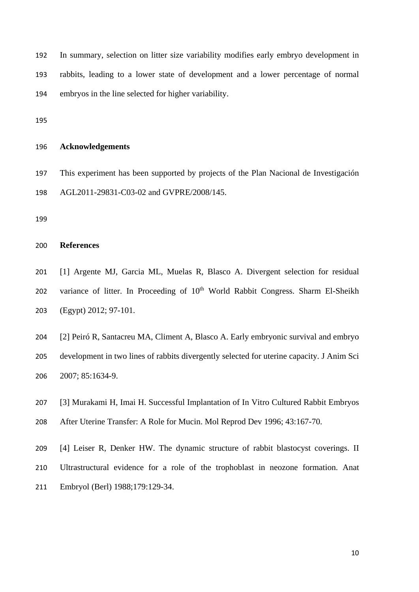In summary, selection on litter size variability modifies early embryo development in rabbits, leading to a lower state of development and a lower percentage of normal embryos in the line selected for higher variability.

# **Acknowledgements**

 This experiment has been supported by projects of the Plan Nacional de Investigación AGL2011-29831-C03-02 and GVPRE/2008/145.

## **References**

 [1] Argente MJ, Garcia ML, Muelas R, Blasco A. Divergent selection for residual 202 variance of litter. In Proceeding of  $10<sup>th</sup>$  World Rabbit Congress. Sharm El-Sheikh (Egypt) 2012; 97-101.

 [2] Peiró R, Santacreu MA, Climent A, Blasco A. Early embryonic survival and embryo development in two lines of rabbits divergently selected for uterine capacity. J Anim Sci 2007; 85:1634-9.

[3] Murakami H, Imai H. Successful Implantation of In Vitro Cultured Rabbit Embryos

After Uterine Transfer: A Role for Mucin. Mol Reprod Dev 1996; 43:167-70.

 [4] Leiser R, Denker HW. The dynamic structure of rabbit blastocyst coverings. II Ultrastructural evidence for a role of the trophoblast in neozone formation. Anat Embryol (Berl) 1988;179:129-34.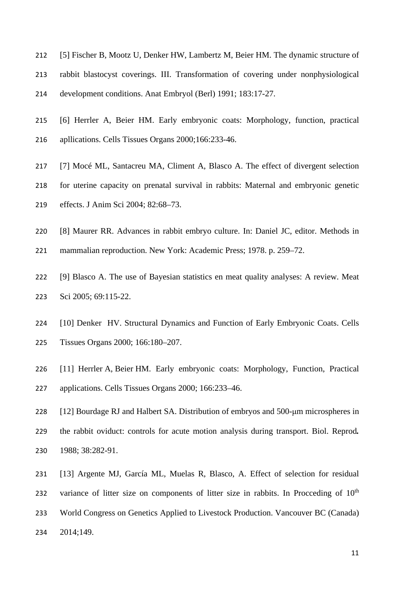- [5] Fischer B, Mootz U, Denker HW, Lambertz M, Beier HM. The dynamic structure of rabbit blastocyst coverings. III. Transformation of covering under nonphysiological development conditions. Anat Embryol (Berl) 1991; 183:17-27.
- [6] Herrler A, Beier HM. Early embryonic coats: Morphology, function, practical apllications. Cells Tissues Organs 2000;166:233-46.
- [7] Mocé ML, Santacreu MA, Climent A, Blasco A. The effect of divergent selection
- for uterine capacity on prenatal survival in rabbits: Maternal and embryonic genetic
- effects. J Anim Sci 2004; 82:68–73.
- [8] Maurer RR. Advances in rabbit embryo culture. In: Daniel JC, editor. Methods in
- mammalian reproduction. New York: Academic Press; 1978. p. 259–72.
- [9] Blasco A. The use of Bayesian statistics en meat quality analyses: A review. Meat Sci 2005; 69:115-22.
- [10] Denker HV. Structural Dynamics and Function of Early Embryonic Coats. Cells Tissues Organs 2000; 166:180–207.
- [11] Herrler A, Beier HM. Early embryonic coats: Morphology, Function, Practical applications. Cells Tissues Organs 2000; 166:233–46.
- [12] Bourdage RJ and Halbert SA. Distribution of embryos and 500-μm microspheres in the rabbit oviduct: controls for acute motion analysis during transport. Biol. Reprod*.*  1988; 38:282-91.
- [13] Argente MJ, García ML, Muelas R, Blasco, A. Effect of selection for residual 232 variance of litter size on components of litter size in rabbits. In Procceding of  $10<sup>th</sup>$  World Congress on Genetics Applied to Livestock Production. Vancouver BC (Canada) 2014;149.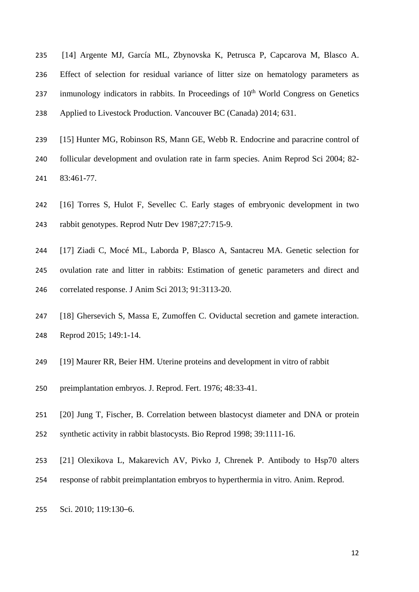- [14] Argente MJ, García ML, Zbynovska K, Petrusca P, Capcarova M, Blasco A. Effect of selection for residual variance of litter size on hematology parameters as 237 inmunology indicators in rabbits. In Proceedings of  $10<sup>th</sup>$  World Congress on Genetics Applied to Livestock Production. Vancouver BC (Canada) 2014; 631.
- [15] Hunter MG, Robinson RS, Mann GE, Webb R. Endocrine and paracrine control of
- follicular development and ovulation rate in farm species. Anim Reprod Sci 2004; 82- 83:461-77.
- [16] Torres S, Hulot F, Sevellec C. Early stages of embryonic development in two rabbit genotypes. Reprod Nutr Dev 1987;27:715-9.
- [17] Ziadi C, Mocé ML, Laborda P, Blasco A, Santacreu MA. Genetic selection for ovulation rate and litter in rabbits: Estimation of genetic parameters and direct and correlated response. J Anim Sci 2013; 91:3113-20.
- [18] Ghersevich S, Massa E, Zumoffen C. Oviductal secretion and gamete interaction. Reprod 2015; 149:1-14.
- [19] Maurer RR, Beier HM. Uterine proteins and development in vitro of rabbit
- preimplantation embryos. J. Reprod. Fert. 1976; 48:33-41.
- [20] Jung T, Fischer, B. Correlation between blastocyst diameter and DNA or protein
- synthetic activity in rabbit blastocysts. Bio Reprod 1998; 39:1111-16.
- [21] Olexikova L, Makarevich AV, Pivko J, Chrenek P. Antibody to Hsp70 alters
- response of rabbit preimplantation embryos to hyperthermia in vitro. Anim. Reprod.
- Sci. 2010; 119:130–6.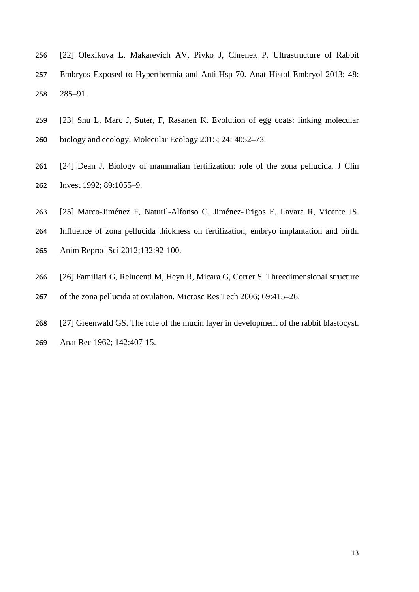- [22] Olexikova L, Makarevich AV, Pivko J, Chrenek P. Ultrastructure of Rabbit Embryos Exposed to Hyperthermia and Anti-Hsp 70. Anat Histol Embryol 2013; 48: 285–91.
- [23] Shu L, Marc J, Suter, F, Rasanen K. Evolution of egg coats: linking molecular
- biology and ecology. Molecular Ecology 2015; 24: 4052–73.
- [24] Dean J. Biology of mammalian fertilization: role of the zona pellucida. J Clin Invest 1992; 89:1055–9.
- [25] Marco-Jiménez F, Naturil-Alfonso C, Jiménez-Trigos E, Lavara R, Vicente JS.
- Influence of zona pellucida thickness on fertilization, embryo implantation and birth.
- Anim Reprod Sci 2012;132:92-100.
- [26] Familiari G, Relucenti M, Heyn R, Micara G, Correr S. Threedimensional structure
- of the zona pellucida at ovulation. Microsc Res Tech 2006; 69:415–26.
- [27] Greenwald GS. The role of the mucin layer in development of the rabbit blastocyst.
- Anat Rec 1962; 142:407-15.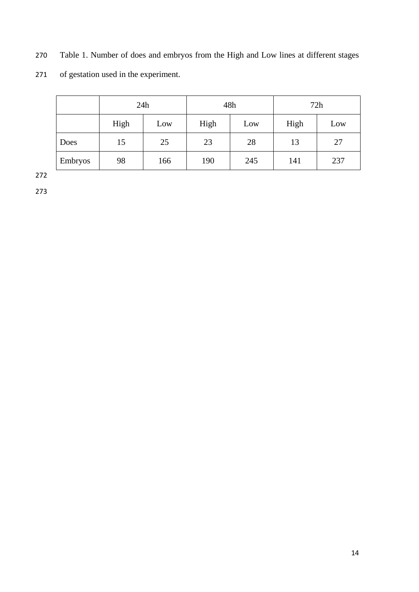270 Table 1. Number of does and embryos from the High and Low lines at different stages

271 of gestation used in the experiment.

|         | 24h  |     | 48h  |     | 72h  |     |
|---------|------|-----|------|-----|------|-----|
|         | High | Low | High | Low | High | Low |
| Does    | 15   | 25  | 23   | 28  | 13   | 27  |
| Embryos | 98   | 166 | 190  | 245 | 141  | 237 |

272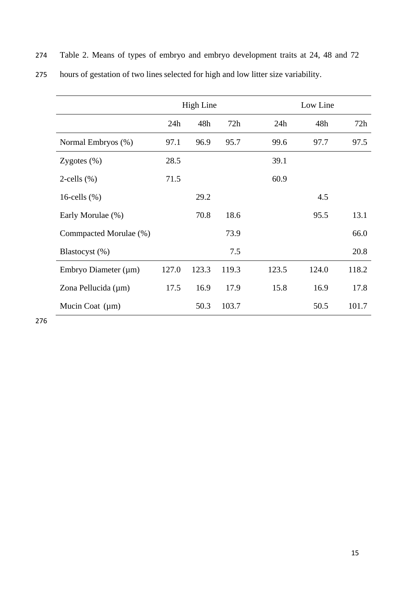|                           | <b>High Line</b> |       |       |       | Low Line |       |  |
|---------------------------|------------------|-------|-------|-------|----------|-------|--|
|                           | 24h              | 48h   | 72h   | 24h   | 48h      | 72h   |  |
| Normal Embryos (%)        | 97.1             | 96.9  | 95.7  | 99.6  | 97.7     | 97.5  |  |
| Zygotes $(\%)$            | 28.5             |       |       | 39.1  |          |       |  |
| $2$ -cells $(\%)$         | 71.5             |       |       | 60.9  |          |       |  |
| 16-cells $(\%)$           |                  | 29.2  |       |       | 4.5      |       |  |
| Early Morulae (%)         |                  | 70.8  | 18.6  |       | 95.5     | 13.1  |  |
| Commpacted Morulae (%)    |                  |       | 73.9  |       |          | 66.0  |  |
| Blastocyst (%)            |                  |       | 7.5   |       |          | 20.8  |  |
| Embryo Diameter $(\mu m)$ | 127.0            | 123.3 | 119.3 | 123.5 | 124.0    | 118.2 |  |
| Zona Pellucida $(\mu m)$  | 17.5             | 16.9  | 17.9  | 15.8  | 16.9     | 17.8  |  |
| Mucin Coat $(\mu m)$      |                  | 50.3  | 103.7 |       | 50.5     | 101.7 |  |

274 Table 2. Means of types of embryo and embryo development traits at 24, 48 and 72

275 hours of gestation of two lines selected for high and low litter size variability.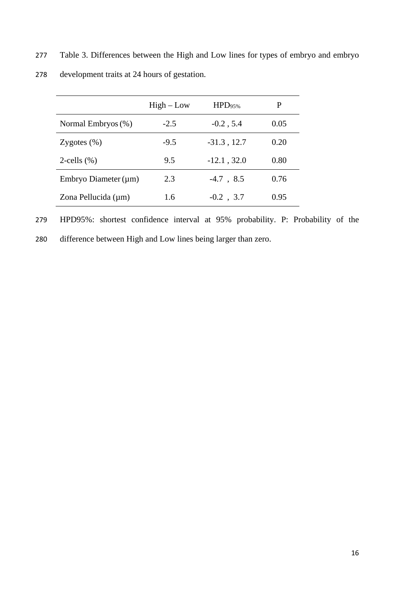277 Table 3. Differences between the High and Low lines for types of embryo and embryo

| 278 |  |  | development traits at 24 hours of gestation. |
|-----|--|--|----------------------------------------------|
|-----|--|--|----------------------------------------------|

|                           | $High-Low$ | HPD <sub>95%</sub> | P    |
|---------------------------|------------|--------------------|------|
| Normal Embryos (%)        | $-2.5$     | $-0.2$ , 5.4       | 0.05 |
| Zygotes $(\%)$            | $-9.5$     | $-31.3$ , 12.7     | 0.20 |
| 2-cells $(\% )$           | 9.5        | $-12.1$ , 32.0     | 0.80 |
| Embryo Diameter $(\mu m)$ | 2.3        | $-4.7$ , 8.5       | 0.76 |
| Zona Pellucida (µm)       | 1.6        | $-0.2$ , 3.7       | 0.95 |

279 HPD95%: shortest confidence interval at 95% probability. P: Probability of the

280 difference between High and Low lines being larger than zero.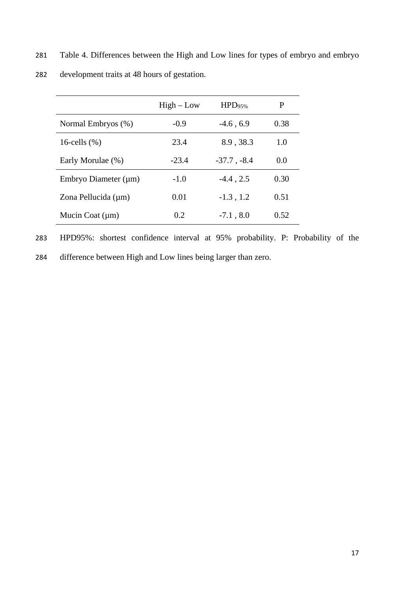281 Table 4. Differences between the High and Low lines for types of embryo and embryo

|                           | $High-Low$ | HPD <sub>95%</sub> |      |
|---------------------------|------------|--------------------|------|
| Normal Embryos (%)        | $-0.9$     | $-4.6, 6.9$        | 0.38 |
| 16-cells $(\%)$           | 23.4       | 8.9, 38.3          | 1.0  |
| Early Morulae (%)         | $-23.4$    | $-37.7$ , $-8.4$   | 0.0  |
| Embryo Diameter $(\mu m)$ | $-1.0$     | $-4.4$ , 2.5       | 0.30 |
| Zona Pellucida (µm)       | 0.01       | $-1.3$ , 1.2       | 0.51 |
| Mucin Coat $(\mu m)$      | 0.2        | $-7.1, 8.0$        | 0.52 |

282 development traits at 48 hours of gestation.

283 HPD95%: shortest confidence interval at 95% probability. P: Probability of the 284 difference between High and Low lines being larger than zero.